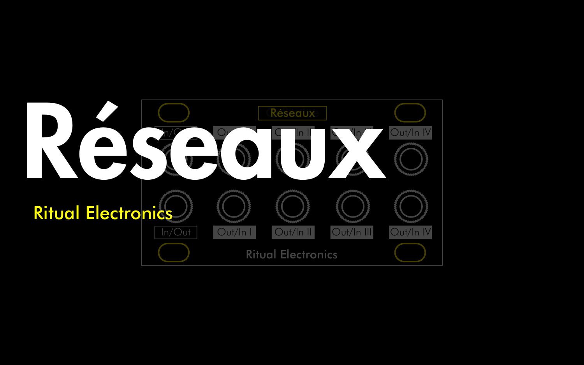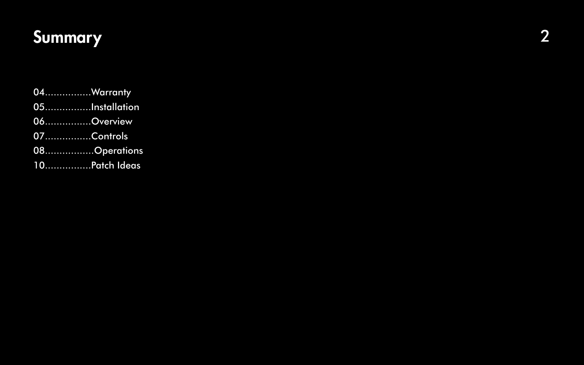# Summary

2

04................Warranty 05................Installation 06...............Overview 07................Controls 08................Operations 10................Patch Ideas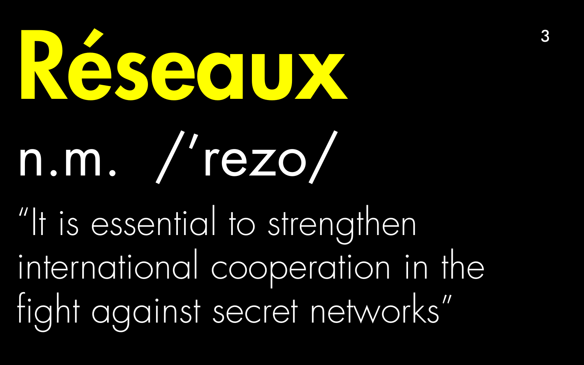# Réseaux n.m. /'rezo/

"It is essential to strengthen international cooperation in the fight against secret networks"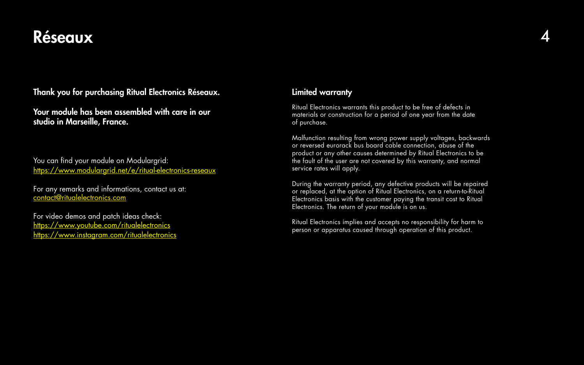# Réseaux 4

Thank you for purchasing Ritual Electronics Réseaux.

Your module has been assembled with care in our studio in Marseille, France.

You can find your module on Modulargrid: [https://www.modulargrid.net/e/ritual-electronics-](https://www.modulargrid.net/e/ritual-electronics-guillotine)reseaux

For any remarks and informations, contact us at: [contact@ritualelectronics.com](mailto:contact@ritualelectronics.com )

For video demos and patch ideas check: <https://www.youtube.com/ritualelectronics> [https://www.instagram.com/ritualelectronics](https://www.instagram.com/ritualelectronics/)

### Limited warranty

Ritual Electronics warrants this product to be free of defects in materials or construction for a period of one year from the date of purchase.

Malfunction resulting from wrong power supply voltages, backwards or reversed eurorack bus board cable connection, abuse of the product or any other causes determined by Ritual Electronics to be the fault of the user are not covered by this warranty, and normal service rates will apply.

During the warranty period, any defective products will be repaired or replaced, at the option of Ritual Electronics, on a return-to-Ritual Electronics basis with the customer paying the transit cost to Ritual Electronics. The return of your module is on us.

Ritual Electronics implies and accepts no responsibility for harm to person or apparatus caused through operation of this product.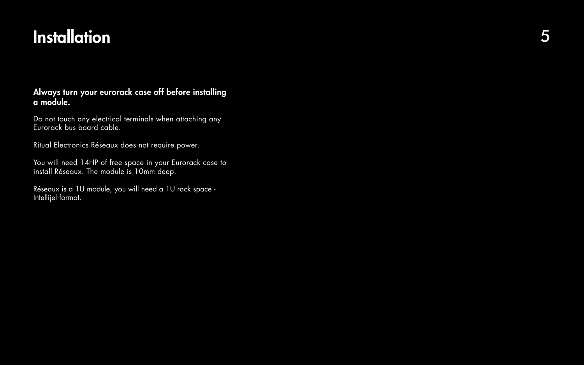# **Installation**

### Always turn your eurorack case off before installing a module.

Do not touch any electrical terminals when attaching any Eurorack bus board cable.

Ritual Electronics Réseaux does not require power.

You will need 14HP of free space in your Eurorack case to install Réseaux. The module is 10mm deep.

Réseaux is a 1U module, you will need a 1U rack space - Intellijel format.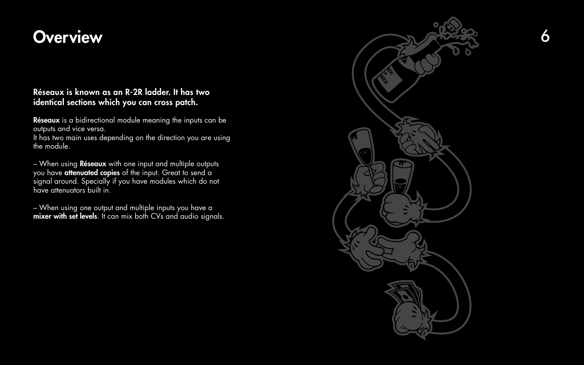# **Overview**

### Réseaux is known as an R-2R ladder. It has two identical sections which you can cross patch.

Réseaux is a bidirectional module meaning the inputs can be outputs and vice versa.

It has two main uses depending on the direction you are using the module.

– When using one output and multiple inputs you have a mixer with set levels. It can mix both CVs and audio signals.



– When using Réseaux with one input and multiple outputs you have attenuated copies of the input. Great to send a signal around. Specially if you have modules which do not have attenuators built in.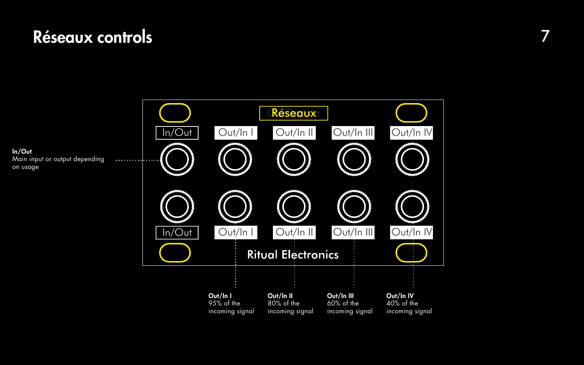# Réseaux controls 7

In/Out Main input or output depending on usage



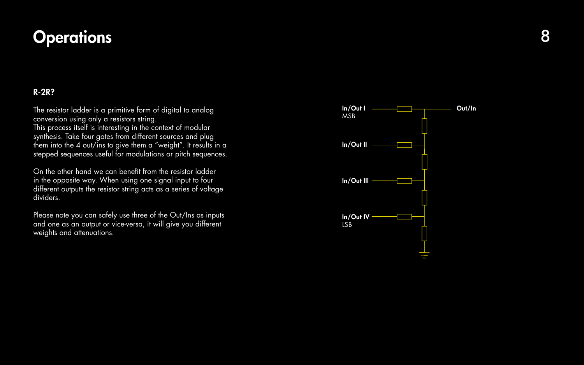

# **Operations**

# R-2R?

| The resistor ladder is a primitive form of digital to analog<br>conversion using only a resistors string.<br>This process itself is interesting in the context of modular                               | $ln/O$ ut l<br><b>MSB</b> |
|---------------------------------------------------------------------------------------------------------------------------------------------------------------------------------------------------------|---------------------------|
| synthesis. Take four gates from different sources and plug<br>them into the 4 out/ins to give them a "weight". It results in a<br>stepped sequences useful for modulations or pitch sequences.          | In/Out II                 |
| On the other hand we can benefit from the resistor ladder<br>in the opposite way. When using one signal input to four<br>different outputs the resistor string acts as a series of voltage<br>dividers. | In/Out III                |
| Please note you can safely use three of the Out/Ins as inputs<br>and one as an output or vice-versa, it will give you different<br>weights and attenuations.                                            | In/Out IV<br><b>LSB</b>   |

### Out/In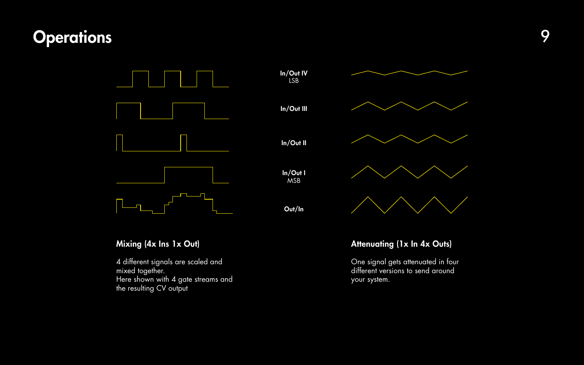4 different signals are scaled and mixed together. Here shown with 4 gate streams and the resulting CV output

# Mixing (4x Ins 1x Out)

# Attenuating (1x In 4x Outs)

One signal gets attenuated in four different versions to send around your system.



# Operations 9

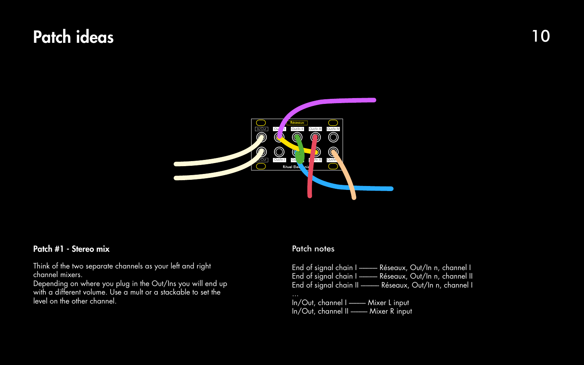### Patch #1 - Stereo mix

Think of the two separate channels as your left and right channel mixers.

Depending on where you plug in the Out/Ins you will end up with a different volume. Use a mult or a stackable to set the level on the other channel.

### Patch notes

End of signal chain I -------- Réseaux, Out/In n, channel I End of signal chain I -------- Réseaux, Out/In n, channel II End of signal chain II -------- Réseaux, Out/In n, channel I In/Out, channel I -------- Mixer L input In/Out, channel II ------- Mixer R input

# Patch ideas and the set of  $\sim$  10

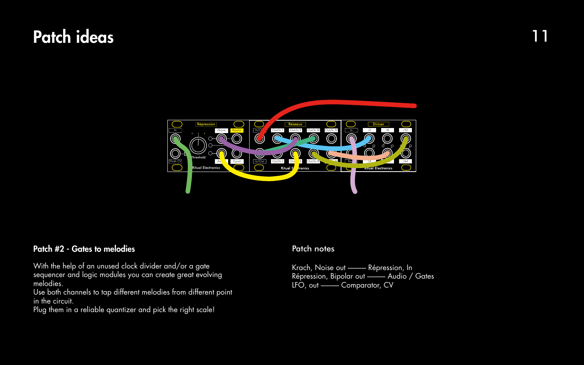### Patch #2 - Gates to melodies

With the help of an unused clock divider and/or a gate sequencer and logic modules you can create great evolving melodies.

Use both channels to tap different melodies from different point in the circuit.

Plug them in a reliable quantizer and pick the right scale!

### Patch notes

Krach, Noise out --------- Répression, In Répression, Bipolar out --------- Audio / Gates LFO, out -------- Comparator, CV







# Patch ideas 11